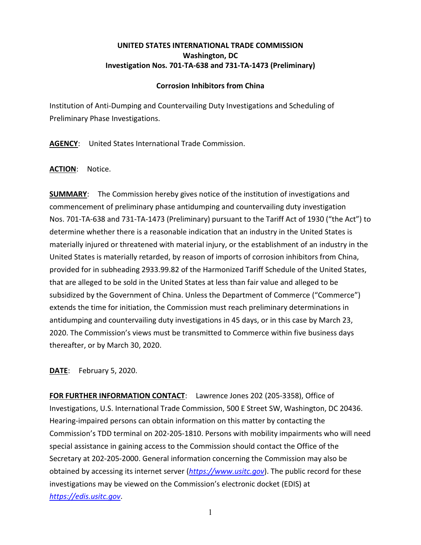## **UNITED STATES INTERNATIONAL TRADE COMMISSION Washington, DC Investigation Nos. 701-TA-638 and 731-TA-1473 (Preliminary)**

## **Corrosion Inhibitors from China**

Institution of Anti-Dumping and Countervailing Duty Investigations and Scheduling of Preliminary Phase Investigations.

**AGENCY**: United States International Trade Commission.

**ACTION**: Notice.

**SUMMARY**: The Commission hereby gives notice of the institution of investigations and commencement of preliminary phase antidumping and countervailing duty investigation Nos. 701-TA-638 and 731-TA-1473 (Preliminary) pursuant to the Tariff Act of 1930 ("the Act") to determine whether there is a reasonable indication that an industry in the United States is materially injured or threatened with material injury, or the establishment of an industry in the United States is materially retarded, by reason of imports of corrosion inhibitors from China, provided for in subheading 2933.99.82 of the Harmonized Tariff Schedule of the United States, that are alleged to be sold in the United States at less than fair value and alleged to be subsidized by the Government of China. Unless the Department of Commerce ("Commerce") extends the time for initiation, the Commission must reach preliminary determinations in antidumping and countervailing duty investigations in 45 days, or in this case by March 23, 2020. The Commission's views must be transmitted to Commerce within five business days thereafter, or by March 30, 2020.

**DATE**: February 5, 2020.

**FOR FURTHER INFORMATION CONTACT**: Lawrence Jones 202 (205-3358), Office of Investigations, U.S. International Trade Commission, 500 E Street SW, Washington, DC 20436. Hearing-impaired persons can obtain information on this matter by contacting the Commission's TDD terminal on 202-205-1810. Persons with mobility impairments who will need special assistance in gaining access to the Commission should contact the Office of the Secretary at 202-205-2000. General information concerning the Commission may also be obtained by accessing its internet server (*[https://www.usitc.gov](https://www.usitc.gov/)*). The public record for these investigations may be viewed on the Commission's electronic docket (EDIS) at *[https://edis.usitc.gov](https://edis.usitc.gov/)*.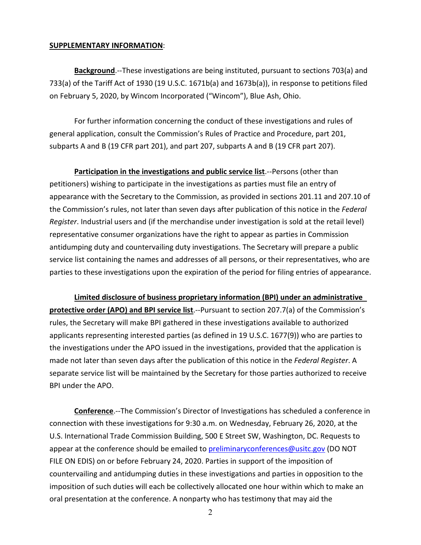## **SUPPLEMENTARY INFORMATION**:

**Background**.--These investigations are being instituted, pursuant to sections 703(a) and 733(a) of the Tariff Act of 1930 (19 U.S.C. 1671b(a) and 1673b(a)), in response to petitions filed on February 5, 2020, by Wincom Incorporated ("Wincom"), Blue Ash, Ohio.

For further information concerning the conduct of these investigations and rules of general application, consult the Commission's Rules of Practice and Procedure, part 201, subparts A and B (19 CFR part 201), and part 207, subparts A and B (19 CFR part 207).

**Participation in the investigations and public service list**.--Persons (other than petitioners) wishing to participate in the investigations as parties must file an entry of appearance with the Secretary to the Commission, as provided in sections 201.11 and 207.10 of the Commission's rules, not later than seven days after publication of this notice in the *Federal Register*. Industrial users and (if the merchandise under investigation is sold at the retail level) representative consumer organizations have the right to appear as parties in Commission antidumping duty and countervailing duty investigations. The Secretary will prepare a public service list containing the names and addresses of all persons, or their representatives, who are parties to these investigations upon the expiration of the period for filing entries of appearance.

**Limited disclosure of business proprietary information (BPI) under an administrative protective order (APO) and BPI service list**.--Pursuant to section 207.7(a) of the Commission's rules, the Secretary will make BPI gathered in these investigations available to authorized applicants representing interested parties (as defined in 19 U.S.C. 1677(9)) who are parties to the investigations under the APO issued in the investigations, provided that the application is made not later than seven days after the publication of this notice in the *Federal Register*. A separate service list will be maintained by the Secretary for those parties authorized to receive BPI under the APO.

**Conference**.--The Commission's Director of Investigations has scheduled a conference in connection with these investigations for 9:30 a.m. on Wednesday, February 26, 2020, at the U.S. International Trade Commission Building, 500 E Street SW, Washington, DC. Requests to appear at the conference should be emailed to [preliminaryconferences@usitc.gov](mailto:preliminaryconferences@usitc.gov) (DO NOT FILE ON EDIS) on or before February 24, 2020. Parties in support of the imposition of countervailing and antidumping duties in these investigations and parties in opposition to the imposition of such duties will each be collectively allocated one hour within which to make an oral presentation at the conference. A nonparty who has testimony that may aid the

2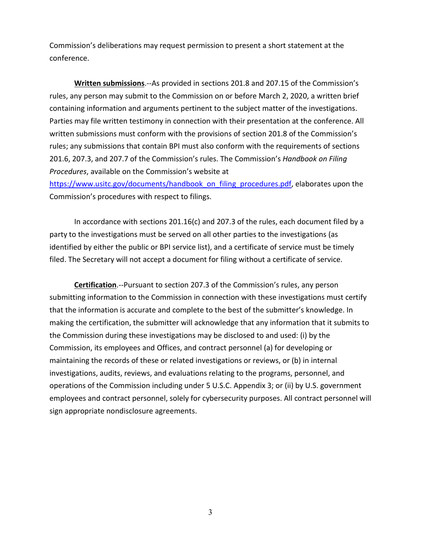Commission's deliberations may request permission to present a short statement at the conference.

**Written submissions**.--As provided in sections 201.8 and 207.15 of the Commission's rules, any person may submit to the Commission on or before March 2, 2020, a written brief containing information and arguments pertinent to the subject matter of the investigations. Parties may file written testimony in connection with their presentation at the conference. All written submissions must conform with the provisions of section 201.8 of the Commission's rules; any submissions that contain BPI must also conform with the requirements of sections 201.6, 207.3, and 207.7 of the Commission's rules. The Commission's *Handbook on Filing Procedures*, available on the Commission's website at

[https://www.usitc.gov/documents/handbook\\_on\\_filing\\_procedures.pdf,](https://www.usitc.gov/documents/handbook_on_filing_procedures.pdf) elaborates upon the Commission's procedures with respect to filings.

In accordance with sections 201.16(c) and 207.3 of the rules, each document filed by a party to the investigations must be served on all other parties to the investigations (as identified by either the public or BPI service list), and a certificate of service must be timely filed. The Secretary will not accept a document for filing without a certificate of service.

**Certification**.--Pursuant to section 207.3 of the Commission's rules, any person submitting information to the Commission in connection with these investigations must certify that the information is accurate and complete to the best of the submitter's knowledge. In making the certification, the submitter will acknowledge that any information that it submits to the Commission during these investigations may be disclosed to and used: (i) by the Commission, its employees and Offices, and contract personnel (a) for developing or maintaining the records of these or related investigations or reviews, or (b) in internal investigations, audits, reviews, and evaluations relating to the programs, personnel, and operations of the Commission including under 5 U.S.C. Appendix 3; or (ii) by U.S. government employees and contract personnel, solely for cybersecurity purposes. All contract personnel will sign appropriate nondisclosure agreements.

3